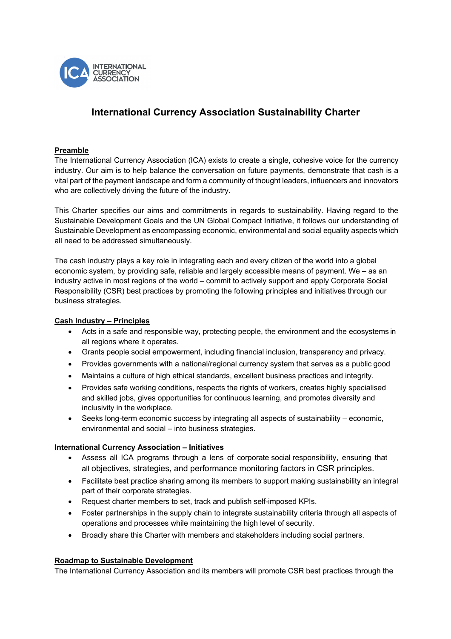

# **International Currency Association Sustainability Charter**

## **Preamble**

The International Currency Association (ICA) exists to create a single, cohesive voice for the currency industry. Our aim is to help balance the conversation on future payments, demonstrate that cash is a vital part of the payment landscape and form a community of thought leaders, influencers and innovators who are collectively driving the future of the industry.

This Charter specifies our aims and commitments in regards to sustainability. Having regard to the Sustainable Development Goals and the UN Global Compact Initiative, it follows our understanding of Sustainable Development as encompassing economic, environmental and social equality aspects which all need to be addressed simultaneously.

The cash industry plays a key role in integrating each and every citizen of the world into a global economic system, by providing safe, reliable and largely accessible means of payment. We – as an industry active in most regions of the world – commit to actively support and apply Corporate Social Responsibility (CSR) best practices by promoting the following principles and initiatives through our business strategies.

### **Cash Industry – Principles**

- Acts in a safe and responsible way, protecting people, the environment and the ecosystems in all regions where it operates.
- Grants people social empowerment, including financial inclusion, transparency and privacy.
- Provides governments with a national/regional currency system that serves as a public good
- Maintains a culture of high ethical standards, excellent business practices and integrity.
- Provides safe working conditions, respects the rights of workers, creates highly specialised and skilled jobs, gives opportunities for continuous learning, and promotes diversity and inclusivity in the workplace.
- Seeks long-term economic success by integrating all aspects of sustainability economic, environmental and social – into business strategies.

### **International Currency Association – Initiatives**

- Assess all ICA programs through a lens of corporate social responsibility, ensuring that all objectives, strategies, and performance monitoring factors in CSR principles.
- Facilitate best practice sharing among its members to support making sustainability an integral part of their corporate strategies.
- Request charter members to set, track and publish self-imposed KPIs.
- Foster partnerships in the supply chain to integrate sustainability criteria through all aspects of operations and processes while maintaining the high level of security.
- Broadly share this Charter with members and stakeholders including social partners.

### **Roadmap to Sustainable Development**

The International Currency Association and its members will promote CSR best practices through the